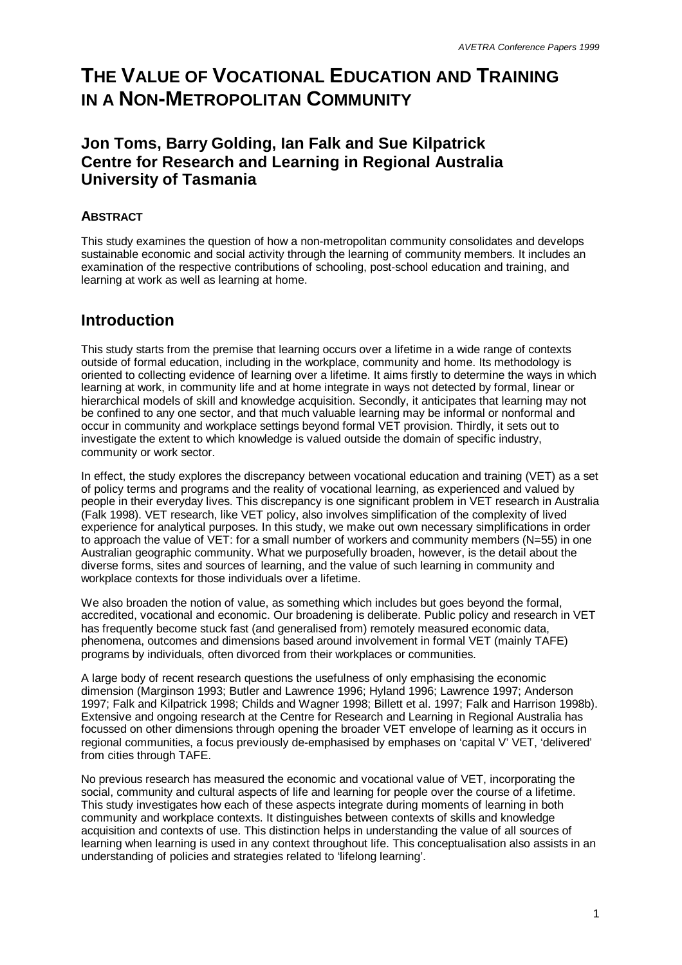# **THE VALUE OF VOCATIONAL EDUCATION AND TRAINING IN A NON-METROPOLITAN COMMUNITY**

### **Jon Toms, Barry Golding, Ian Falk and Sue Kilpatrick Centre for Research and Learning in Regional Australia University of Tasmania**

### **ABSTRACT**

This study examines the question of how a non-metropolitan community consolidates and develops sustainable economic and social activity through the learning of community members. It includes an examination of the respective contributions of schooling, post-school education and training, and learning at work as well as learning at home.

### **Introduction**

This study starts from the premise that learning occurs over a lifetime in a wide range of contexts outside of formal education, including in the workplace, community and home. Its methodology is oriented to collecting evidence of learning over a lifetime. It aims firstly to determine the ways in which learning at work, in community life and at home integrate in ways not detected by formal, linear or hierarchical models of skill and knowledge acquisition. Secondly, it anticipates that learning may not be confined to any one sector, and that much valuable learning may be informal or nonformal and occur in community and workplace settings beyond formal VET provision. Thirdly, it sets out to investigate the extent to which knowledge is valued outside the domain of specific industry, community or work sector.

In effect, the study explores the discrepancy between vocational education and training (VET) as a set of policy terms and programs and the reality of vocational learning, as experienced and valued by people in their everyday lives. This discrepancy is one significant problem in VET research in Australia (Falk 1998). VET research, like VET policy, also involves simplification of the complexity of lived experience for analytical purposes. In this study, we make out own necessary simplifications in order to approach the value of VET: for a small number of workers and community members (N=55) in one Australian geographic community. What we purposefully broaden, however, is the detail about the diverse forms, sites and sources of learning, and the value of such learning in community and workplace contexts for those individuals over a lifetime.

We also broaden the notion of value, as something which includes but goes beyond the formal, accredited, vocational and economic. Our broadening is deliberate. Public policy and research in VET has frequently become stuck fast (and generalised from) remotely measured economic data, phenomena, outcomes and dimensions based around involvement in formal VET (mainly TAFE) programs by individuals, often divorced from their workplaces or communities.

A large body of recent research questions the usefulness of only emphasising the economic dimension (Marginson 1993; Butler and Lawrence 1996; Hyland 1996; Lawrence 1997; Anderson 1997; Falk and Kilpatrick 1998; Childs and Wagner 1998; Billett et al. 1997; Falk and Harrison 1998b). Extensive and ongoing research at the Centre for Research and Learning in Regional Australia has focussed on other dimensions through opening the broader VET envelope of learning as it occurs in regional communities, a focus previously de-emphasised by emphases on 'capital V' VET, 'delivered' from cities through TAFE.

No previous research has measured the economic and vocational value of VET, incorporating the social, community and cultural aspects of life and learning for people over the course of a lifetime. This study investigates how each of these aspects integrate during moments of learning in both community and workplace contexts. It distinguishes between contexts of skills and knowledge acquisition and contexts of use. This distinction helps in understanding the value of all sources of learning when learning is used in any context throughout life. This conceptualisation also assists in an understanding of policies and strategies related to 'lifelong learning'.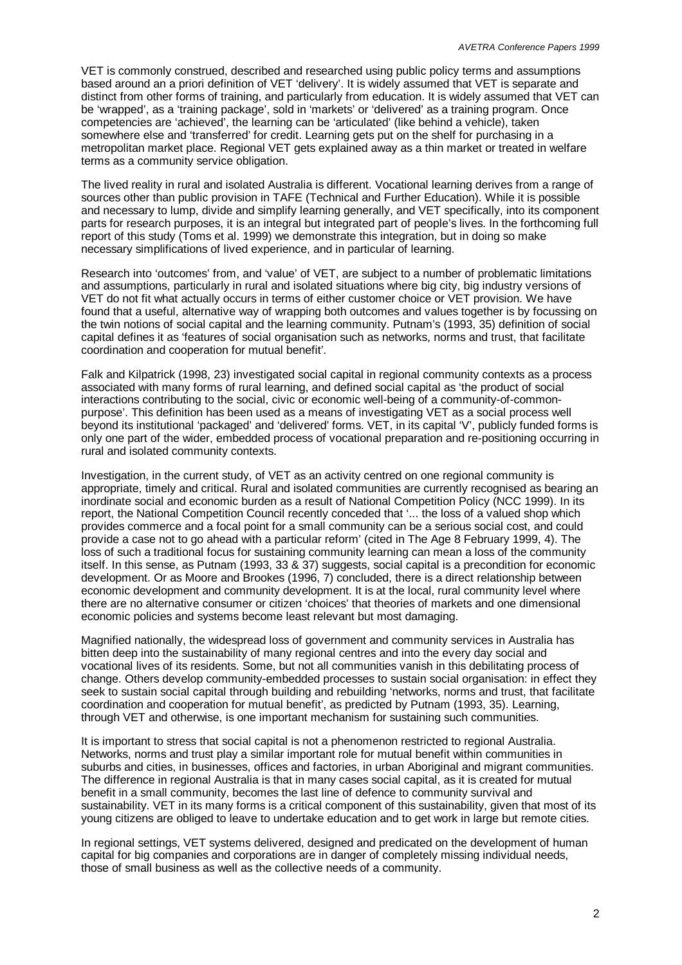VET is commonly construed, described and researched using public policy terms and assumptions based around an a priori definition of VET 'delivery'. It is widely assumed that VET is separate and distinct from other forms of training, and particularly from education. It is widely assumed that VET can be 'wrapped', as a 'training package', sold in 'markets' or 'delivered' as a training program. Once competencies are 'achieved', the learning can be 'articulated' (like behind a vehicle), taken somewhere else and 'transferred' for credit. Learning gets put on the shelf for purchasing in a metropolitan market place. Regional VET gets explained away as a thin market or treated in welfare terms as a community service obligation.

The lived reality in rural and isolated Australia is different. Vocational learning derives from a range of sources other than public provision in TAFE (Technical and Further Education). While it is possible and necessary to lump, divide and simplify learning generally, and VET specifically, into its component parts for research purposes, it is an integral but integrated part of people's lives. In the forthcoming full report of this study (Toms et al. 1999) we demonstrate this integration, but in doing so make necessary simplifications of lived experience, and in particular of learning.

Research into 'outcomes' from, and 'value' of VET, are subject to a number of problematic limitations and assumptions, particularly in rural and isolated situations where big city, big industry versions of VET do not fit what actually occurs in terms of either customer choice or VET provision. We have found that a useful, alternative way of wrapping both outcomes and values together is by focussing on the twin notions of social capital and the learning community. Putnam's (1993, 35) definition of social capital defines it as 'features of social organisation such as networks, norms and trust, that facilitate coordination and cooperation for mutual benefit'.

Falk and Kilpatrick (1998, 23) investigated social capital in regional community contexts as a process associated with many forms of rural learning, and defined social capital as 'the product of social interactions contributing to the social, civic or economic well-being of a community-of-commonpurpose'. This definition has been used as a means of investigating VET as a social process well beyond its institutional 'packaged' and 'delivered' forms. VET, in its capital 'V', publicly funded forms is only one part of the wider, embedded process of vocational preparation and re-positioning occurring in rural and isolated community contexts.

Investigation, in the current study, of VET as an activity centred on one regional community is appropriate, timely and critical. Rural and isolated communities are currently recognised as bearing an inordinate social and economic burden as a result of National Competition Policy (NCC 1999). In its report, the National Competition Council recently conceded that '... the loss of a valued shop which provides commerce and a focal point for a small community can be a serious social cost, and could provide a case not to go ahead with a particular reform' (cited in The Age 8 February 1999, 4). The loss of such a traditional focus for sustaining community learning can mean a loss of the community itself. In this sense, as Putnam (1993, 33 & 37) suggests, social capital is a precondition for economic development. Or as Moore and Brookes (1996, 7) concluded, there is a direct relationship between economic development and community development. It is at the local, rural community level where there are no alternative consumer or citizen 'choices' that theories of markets and one dimensional economic policies and systems become least relevant but most damaging.

Magnified nationally, the widespread loss of government and community services in Australia has bitten deep into the sustainability of many regional centres and into the every day social and vocational lives of its residents. Some, but not all communities vanish in this debilitating process of change. Others develop community-embedded processes to sustain social organisation: in effect they seek to sustain social capital through building and rebuilding 'networks, norms and trust, that facilitate coordination and cooperation for mutual benefit', as predicted by Putnam (1993, 35). Learning, through VET and otherwise, is one important mechanism for sustaining such communities.

It is important to stress that social capital is not a phenomenon restricted to regional Australia. Networks, norms and trust play a similar important role for mutual benefit within communities in suburbs and cities, in businesses, offices and factories, in urban Aboriginal and migrant communities. The difference in regional Australia is that in many cases social capital, as it is created for mutual benefit in a small community, becomes the last line of defence to community survival and sustainability. VET in its many forms is a critical component of this sustainability, given that most of its young citizens are obliged to leave to undertake education and to get work in large but remote cities.

In regional settings, VET systems delivered, designed and predicated on the development of human capital for big companies and corporations are in danger of completely missing individual needs, those of small business as well as the collective needs of a community.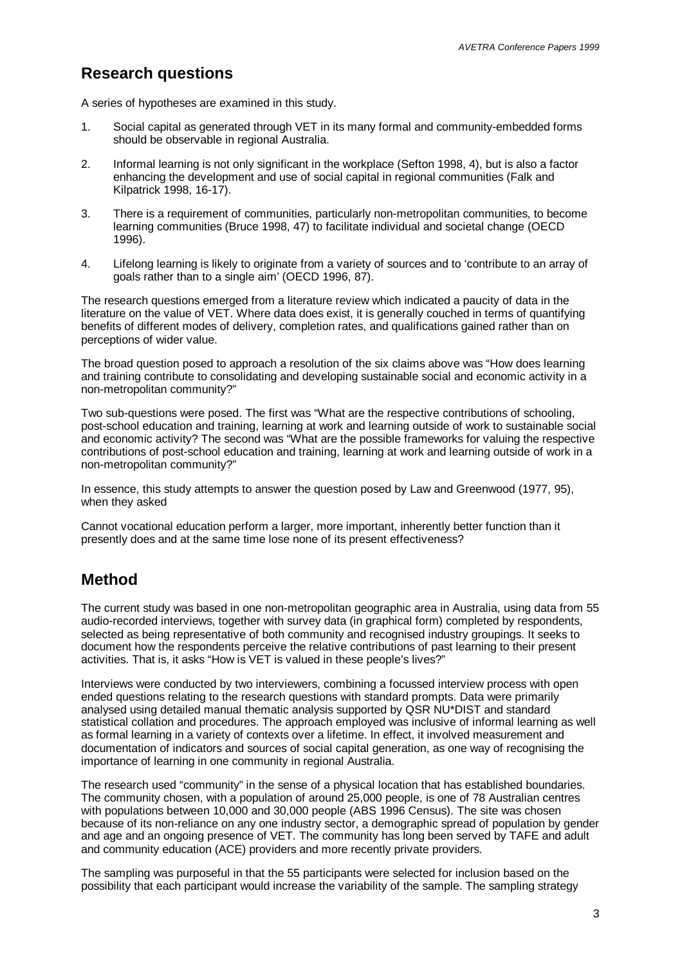### **Research questions**

A series of hypotheses are examined in this study.

- 1. Social capital as generated through VET in its many formal and community-embedded forms should be observable in regional Australia.
- 2. Informal learning is not only significant in the workplace (Sefton 1998, 4), but is also a factor enhancing the development and use of social capital in regional communities (Falk and Kilpatrick 1998, 16-17).
- 3. There is a requirement of communities, particularly non-metropolitan communities, to become learning communities (Bruce 1998, 47) to facilitate individual and societal change (OECD 1996).
- 4. Lifelong learning is likely to originate from a variety of sources and to 'contribute to an array of goals rather than to a single aim' (OECD 1996, 87).

The research questions emerged from a literature review which indicated a paucity of data in the literature on the value of VET. Where data does exist, it is generally couched in terms of quantifying benefits of different modes of delivery, completion rates, and qualifications gained rather than on perceptions of wider value.

The broad question posed to approach a resolution of the six claims above was "How does learning and training contribute to consolidating and developing sustainable social and economic activity in a non-metropolitan community?"

Two sub-questions were posed. The first was "What are the respective contributions of schooling, post-school education and training, learning at work and learning outside of work to sustainable social and economic activity? The second was "What are the possible frameworks for valuing the respective contributions of post-school education and training, learning at work and learning outside of work in a non-metropolitan community?"

In essence, this study attempts to answer the question posed by Law and Greenwood (1977, 95), when they asked

Cannot vocational education perform a larger, more important, inherently better function than it presently does and at the same time lose none of its present effectiveness?

### **Method**

The current study was based in one non-metropolitan geographic area in Australia, using data from 55 audio-recorded interviews, together with survey data (in graphical form) completed by respondents, selected as being representative of both community and recognised industry groupings. It seeks to document how the respondents perceive the relative contributions of past learning to their present activities. That is, it asks "How is VET is valued in these people's lives?"

Interviews were conducted by two interviewers, combining a focussed interview process with open ended questions relating to the research questions with standard prompts. Data were primarily analysed using detailed manual thematic analysis supported by QSR NU\*DIST and standard statistical collation and procedures. The approach employed was inclusive of informal learning as well as formal learning in a variety of contexts over a lifetime. In effect, it involved measurement and documentation of indicators and sources of social capital generation, as one way of recognising the importance of learning in one community in regional Australia.

The research used "community" in the sense of a physical location that has established boundaries. The community chosen, with a population of around 25,000 people, is one of 78 Australian centres with populations between 10,000 and 30,000 people (ABS 1996 Census). The site was chosen because of its non-reliance on any one industry sector, a demographic spread of population by gender and age and an ongoing presence of VET. The community has long been served by TAFE and adult and community education (ACE) providers and more recently private providers.

The sampling was purposeful in that the 55 participants were selected for inclusion based on the possibility that each participant would increase the variability of the sample. The sampling strategy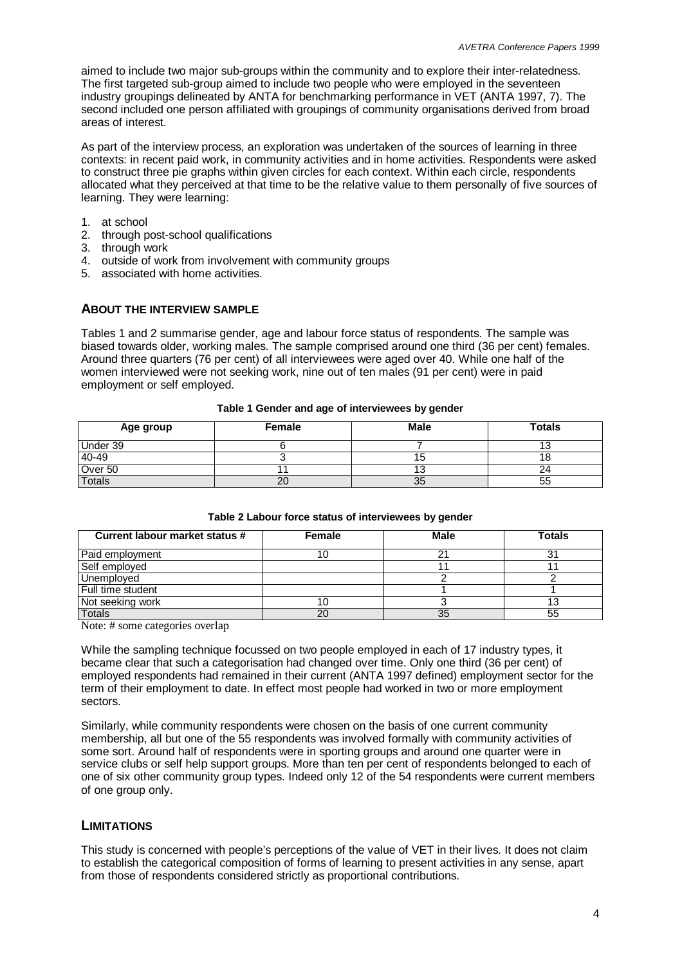aimed to include two major sub-groups within the community and to explore their inter-relatedness. The first targeted sub-group aimed to include two people who were employed in the seventeen industry groupings delineated by ANTA for benchmarking performance in VET (ANTA 1997, 7). The second included one person affiliated with groupings of community organisations derived from broad areas of interest.

As part of the interview process, an exploration was undertaken of the sources of learning in three contexts: in recent paid work, in community activities and in home activities. Respondents were asked to construct three pie graphs within given circles for each context. Within each circle, respondents allocated what they perceived at that time to be the relative value to them personally of five sources of learning. They were learning:

- 1. at school
- 2. through post-school qualifications
- 3. through work
- 4. outside of work from involvement with community groups
- 5. associated with home activities.

#### **ABOUT THE INTERVIEW SAMPLE**

Tables 1 and 2 summarise gender, age and labour force status of respondents. The sample was biased towards older, working males. The sample comprised around one third (36 per cent) females. Around three quarters (76 per cent) of all interviewees were aged over 40. While one half of the women interviewed were not seeking work, nine out of ten males (91 per cent) were in paid employment or self employed.

| Age group | Female | <b>Male</b> | <b>Totals</b> |
|-----------|--------|-------------|---------------|
| Under 39  |        |             |               |
| 40-49     |        |             |               |
| Over 50   |        |             |               |
| Totals    | 20     | 35          | 55            |

#### **Table 1 Gender and age of interviewees by gender**

| Current labour market status # | Female | <b>Male</b> | <b>Totals</b> |
|--------------------------------|--------|-------------|---------------|
| Paid employment                |        |             |               |
| Self employed                  |        |             |               |
| Unemployed                     |        |             |               |
| Full time student              |        |             |               |
| Not seeking work               |        |             |               |
| Totals                         | 20     | 35          | 55            |

**Table 2 Labour force status of interviewees by gender**

Note: # some categories overlap

While the sampling technique focussed on two people employed in each of 17 industry types, it became clear that such a categorisation had changed over time. Only one third (36 per cent) of employed respondents had remained in their current (ANTA 1997 defined) employment sector for the term of their employment to date. In effect most people had worked in two or more employment sectors.

Similarly, while community respondents were chosen on the basis of one current community membership, all but one of the 55 respondents was involved formally with community activities of some sort. Around half of respondents were in sporting groups and around one quarter were in service clubs or self help support groups. More than ten per cent of respondents belonged to each of one of six other community group types. Indeed only 12 of the 54 respondents were current members of one group only.

#### **LIMITATIONS**

This study is concerned with people's perceptions of the value of VET in their lives. It does not claim to establish the categorical composition of forms of learning to present activities in any sense, apart from those of respondents considered strictly as proportional contributions.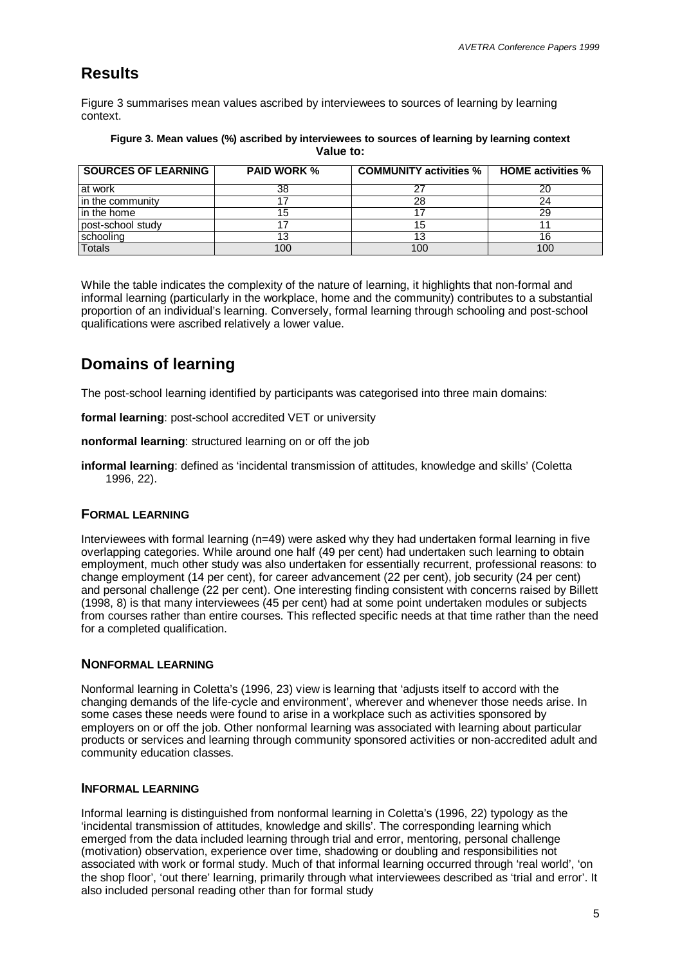## **Results**

Figure 3 summarises mean values ascribed by interviewees to sources of learning by learning context.

| <b>SOURCES OF LEARNING</b> | <b>PAID WORK %</b> | <b>COMMUNITY activities %</b> | <b>HOME activities %</b> |
|----------------------------|--------------------|-------------------------------|--------------------------|
| at work                    | 38                 | つつ                            | 20                       |
| in the community           |                    | 28                            | 24                       |
| in the home                |                    |                               | 29                       |
| post-school study          |                    | 15                            |                          |
| schooling                  |                    | 13                            | 16                       |
| Totals                     | 100                | 100                           | 100                      |

#### **Figure 3. Mean values (%) ascribed by interviewees to sources of learning by learning context Value to:**

While the table indicates the complexity of the nature of learning, it highlights that non-formal and informal learning (particularly in the workplace, home and the community) contributes to a substantial proportion of an individual's learning. Conversely, formal learning through schooling and post-school qualifications were ascribed relatively a lower value.

## **Domains of learning**

The post-school learning identified by participants was categorised into three main domains:

**formal learning**: post-school accredited VET or university

**nonformal learning**: structured learning on or off the job

**informal learning**: defined as 'incidental transmission of attitudes, knowledge and skills' (Coletta 1996, 22).

### **FORMAL LEARNING**

Interviewees with formal learning (n=49) were asked why they had undertaken formal learning in five overlapping categories. While around one half (49 per cent) had undertaken such learning to obtain employment, much other study was also undertaken for essentially recurrent, professional reasons: to change employment (14 per cent), for career advancement (22 per cent), job security (24 per cent) and personal challenge (22 per cent). One interesting finding consistent with concerns raised by Billett (1998, 8) is that many interviewees (45 per cent) had at some point undertaken modules or subjects from courses rather than entire courses. This reflected specific needs at that time rather than the need for a completed qualification.

### **NONFORMAL LEARNING**

Nonformal learning in Coletta's (1996, 23) view is learning that 'adjusts itself to accord with the changing demands of the life-cycle and environment', wherever and whenever those needs arise. In some cases these needs were found to arise in a workplace such as activities sponsored by employers on or off the job. Other nonformal learning was associated with learning about particular products or services and learning through community sponsored activities or non-accredited adult and community education classes.

### **INFORMAL LEARNING**

Informal learning is distinguished from nonformal learning in Coletta's (1996, 22) typology as the 'incidental transmission of attitudes, knowledge and skills'. The corresponding learning which emerged from the data included learning through trial and error, mentoring, personal challenge (motivation) observation, experience over time, shadowing or doubling and responsibilities not associated with work or formal study. Much of that informal learning occurred through 'real world', 'on the shop floor', 'out there' learning, primarily through what interviewees described as 'trial and error'. It also included personal reading other than for formal study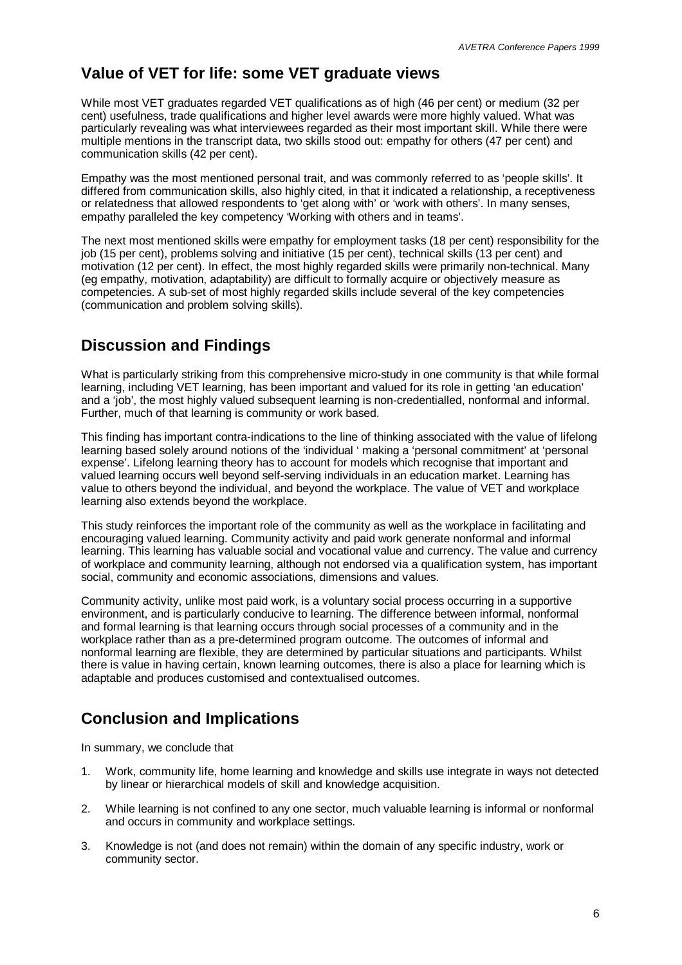## **Value of VET for life: some VET graduate views**

While most VET graduates regarded VET qualifications as of high (46 per cent) or medium (32 per cent) usefulness, trade qualifications and higher level awards were more highly valued. What was particularly revealing was what interviewees regarded as their most important skill. While there were multiple mentions in the transcript data, two skills stood out: empathy for others (47 per cent) and communication skills (42 per cent).

Empathy was the most mentioned personal trait, and was commonly referred to as 'people skills'. It differed from communication skills, also highly cited, in that it indicated a relationship, a receptiveness or relatedness that allowed respondents to 'get along with' or 'work with others'. In many senses, empathy paralleled the key competency 'Working with others and in teams'.

The next most mentioned skills were empathy for employment tasks (18 per cent) responsibility for the job (15 per cent), problems solving and initiative (15 per cent), technical skills (13 per cent) and motivation (12 per cent). In effect, the most highly regarded skills were primarily non-technical. Many (eg empathy, motivation, adaptability) are difficult to formally acquire or objectively measure as competencies. A sub-set of most highly regarded skills include several of the key competencies (communication and problem solving skills).

## **Discussion and Findings**

What is particularly striking from this comprehensive micro-study in one community is that while formal learning, including VET learning, has been important and valued for its role in getting 'an education' and a 'job', the most highly valued subsequent learning is non-credentialled, nonformal and informal. Further, much of that learning is community or work based.

This finding has important contra-indications to the line of thinking associated with the value of lifelong learning based solely around notions of the 'individual ' making a 'personal commitment' at 'personal expense'. Lifelong learning theory has to account for models which recognise that important and valued learning occurs well beyond self-serving individuals in an education market. Learning has value to others beyond the individual, and beyond the workplace. The value of VET and workplace learning also extends beyond the workplace.

This study reinforces the important role of the community as well as the workplace in facilitating and encouraging valued learning. Community activity and paid work generate nonformal and informal learning. This learning has valuable social and vocational value and currency. The value and currency of workplace and community learning, although not endorsed via a qualification system, has important social, community and economic associations, dimensions and values.

Community activity, unlike most paid work, is a voluntary social process occurring in a supportive environment, and is particularly conducive to learning. The difference between informal, nonformal and formal learning is that learning occurs through social processes of a community and in the workplace rather than as a pre-determined program outcome. The outcomes of informal and nonformal learning are flexible, they are determined by particular situations and participants. Whilst there is value in having certain, known learning outcomes, there is also a place for learning which is adaptable and produces customised and contextualised outcomes.

## **Conclusion and Implications**

In summary, we conclude that

- 1. Work, community life, home learning and knowledge and skills use integrate in ways not detected by linear or hierarchical models of skill and knowledge acquisition.
- 2. While learning is not confined to any one sector, much valuable learning is informal or nonformal and occurs in community and workplace settings.
- 3. Knowledge is not (and does not remain) within the domain of any specific industry, work or community sector.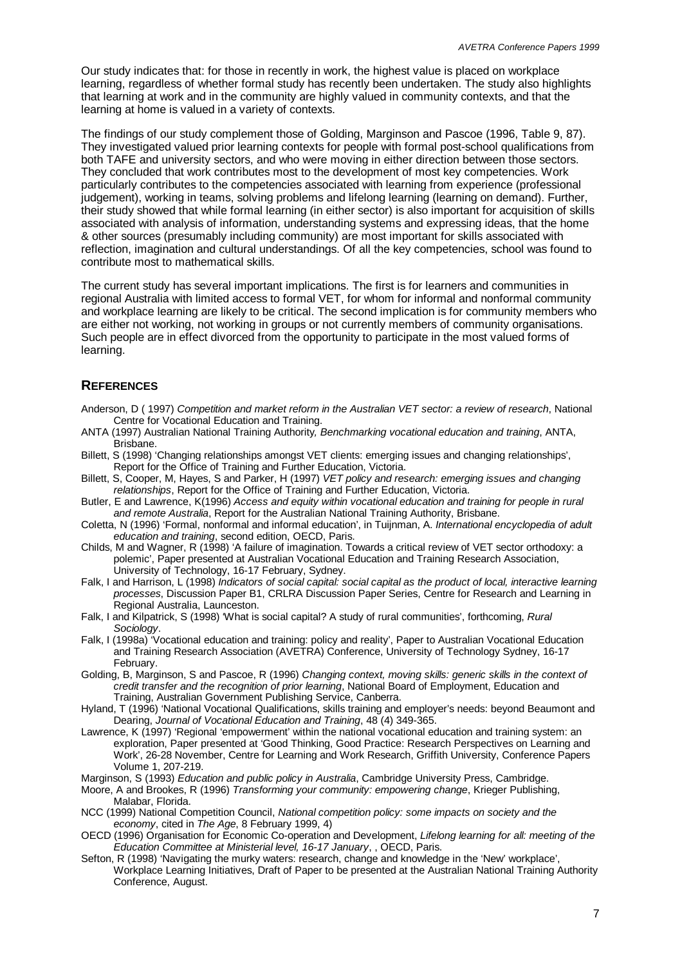Our study indicates that: for those in recently in work, the highest value is placed on workplace learning, regardless of whether formal study has recently been undertaken. The study also highlights that learning at work and in the community are highly valued in community contexts, and that the learning at home is valued in a variety of contexts.

The findings of our study complement those of Golding, Marginson and Pascoe (1996, Table 9, 87). They investigated valued prior learning contexts for people with formal post-school qualifications from both TAFE and university sectors, and who were moving in either direction between those sectors. They concluded that work contributes most to the development of most key competencies. Work particularly contributes to the competencies associated with learning from experience (professional judgement), working in teams, solving problems and lifelong learning (learning on demand). Further, their study showed that while formal learning (in either sector) is also important for acquisition of skills associated with analysis of information, understanding systems and expressing ideas, that the home & other sources (presumably including community) are most important for skills associated with reflection, imagination and cultural understandings. Of all the key competencies, school was found to contribute most to mathematical skills.

The current study has several important implications. The first is for learners and communities in regional Australia with limited access to formal VET, for whom for informal and nonformal community and workplace learning are likely to be critical. The second implication is for community members who are either not working, not working in groups or not currently members of community organisations. Such people are in effect divorced from the opportunity to participate in the most valued forms of learning.

### **REFERENCES**

- Anderson, D ( 1997) *Competition and market reform in the Australian VET sector: a review of research*, National Centre for Vocational Education and Training.
- ANTA (1997) Australian National Training Authority*, Benchmarking vocational education and training*, ANTA, Brisbane.
- Billett, S (1998) 'Changing relationships amongst VET clients: emerging issues and changing relationships', Report for the Office of Training and Further Education, Victoria.
- Billett, S, Cooper, M, Hayes, S and Parker, H (1997) *VET policy and research: emerging issues and changing relationships*, Report for the Office of Training and Further Education, Victoria.
- Butler, E and Lawrence, K(1996) *Access and equity within vocational education and training for people in rural and remote Australia*, Report for the Australian National Training Authority, Brisbane.
- Coletta, N (1996) 'Formal, nonformal and informal education', in Tuijnman, A. *International encyclopedia of adult education and training*, second edition, OECD, Paris.
- Childs, M and Wagner, R (1998) 'A failure of imagination. Towards a critical review of VET sector orthodoxy: a polemic', Paper presented at Australian Vocational Education and Training Research Association, University of Technology, 16-17 February, Sydney.
- Falk, I and Harrison, L (1998) *Indicators of social capital: social capital as the product of local, interactive learning processes*, Discussion Paper B1, CRLRA Discussion Paper Series, Centre for Research and Learning in Regional Australia, Launceston.
- Falk, I and Kilpatrick, S (1998) 'What is social capital? A study of rural communities', forthcoming, *Rural Sociology*.
- Falk, I (1998a) 'Vocational education and training: policy and reality', Paper to Australian Vocational Education and Training Research Association (AVETRA) Conference, University of Technology Sydney, 16-17 February.
- Golding, B, Marginson, S and Pascoe, R (1996) *Changing context, moving skills: generic skills in the context of credit transfer and the recognition of prior learning*, National Board of Employment, Education and Training, Australian Government Publishing Service, Canberra.
- Hyland, T (1996) 'National Vocational Qualifications, skills training and employer's needs: beyond Beaumont and Dearing, *Journal of Vocational Education and Training*, 48 (4) 349-365.
- Lawrence, K (1997) 'Regional 'empowerment' within the national vocational education and training system: an exploration, Paper presented at 'Good Thinking, Good Practice: Research Perspectives on Learning and Work', 26-28 November, Centre for Learning and Work Research, Griffith University, Conference Papers Volume 1, 207-219.
- Marginson, S (1993) *Education and public policy in Australia*, Cambridge University Press, Cambridge.
- Moore, A and Brookes, R (1996) *Transforming your community: empowering change*, Krieger Publishing, Malabar, Florida.
- NCC (1999) National Competition Council, *National competition policy: some impacts on society and the economy*, cited in *The Age*, 8 February 1999, 4)
- OECD (1996) Organisation for Economic Co-operation and Development, *Lifelong learning for all: meeting of the Education Committee at Ministerial level, 16-17 January*, , OECD, Paris.
- Sefton, R (1998) 'Navigating the murky waters: research, change and knowledge in the 'New' workplace', Workplace Learning Initiatives, Draft of Paper to be presented at the Australian National Training Authority Conference, August.